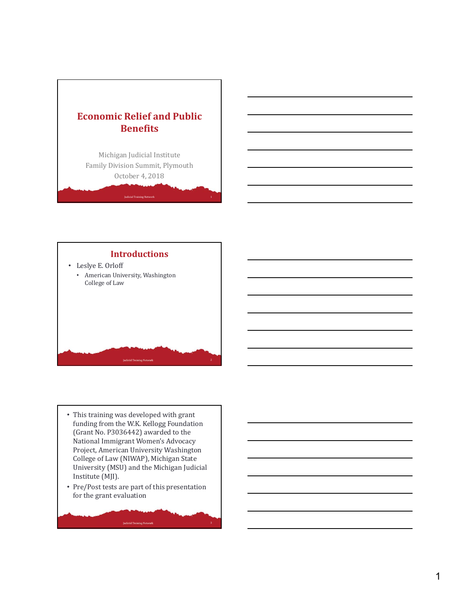

Michigan Judicial Institute Family Division Summit, Plymouth October 4, 2018



- This training was developed with grant funding from the W.K. Kellogg Foundation (Grant No. P3036442) awarded to the National Immigrant Women's Advocacy Project, American University Washington College of Law (NIWAP), Michigan State University (MSU) and the Michigan Judicial Institute (MJI).
- Pre/Post tests are part of this presentation for the grant evaluation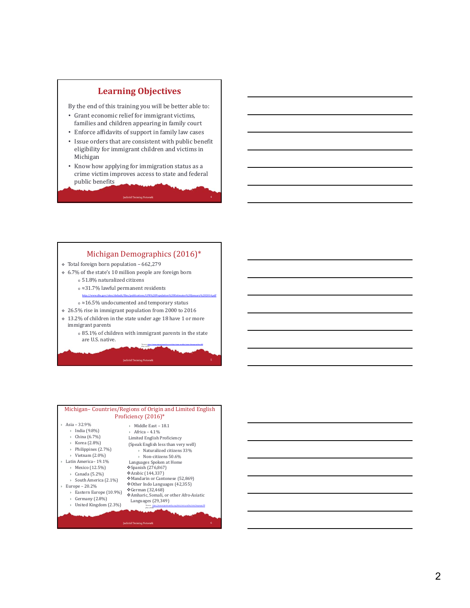# **Learning Objectives**

By the end of this training you will be better able to:

- Grant economic relief for immigrant victims, families and children appearing in family court
- Enforce affidavits of support in family law cases
- Issue orders that are consistent with public benefit eligibility for immigrant children and victims in Michigan
- Know how applying for immigration status as a crime victim improves access to state and federal public benefits

#### Michigan Demographics (2016)\*

- $\div$  Total foreign born population 662,279
- 6.7% of the state's 10 million people are foreign born
	- <sup>o</sup> 51.8% naturalized citizens
	- <sup>o</sup> ≈31.7% lawful permanent residents
	- http://www.dhs.gov/sites/default/files/publications/LPR%20Population%20Estimates%20January%202014.pdf
	- <sup>o</sup> ≈16.5% undocumented and temporary status
- 26.5% rise in immigrant population from 2000 to 2016 13.2% of children in the state under age 18 have 1 or more
	- immigrant parents  $\scriptstyle\rm o$  85.1% of children with immigrant parents in the state are U.S. native.

| (Feb. 2018)                      |  |
|----------------------------------|--|
| <b>Judicial Training Network</b> |  |
|                                  |  |

*\*Source: http://www.migrationpolicy.org/data/state*

*‐profiles/state/demographics/MI*

| Michigan-Countries/Regions of Origin and Limited English<br>Proficiency (2016)*                                                                                                                                                                                                      |                                                                                                                                                                                                                                                                                                                                                                                                                                                                                                                          |  |
|--------------------------------------------------------------------------------------------------------------------------------------------------------------------------------------------------------------------------------------------------------------------------------------|--------------------------------------------------------------------------------------------------------------------------------------------------------------------------------------------------------------------------------------------------------------------------------------------------------------------------------------------------------------------------------------------------------------------------------------------------------------------------------------------------------------------------|--|
| Asia - 32.9%<br>India (9.8%)<br>China (6.7%)<br>Korea (2.8%)<br>Philippines (2.7%)<br>Vietnam $(2.0\%)$<br>Latin America-19.1%<br>Mexico (12.5%)<br>Canada (5.2%)<br>South America (2.1%)<br>Europe $-20.2%$<br>Eastern Europe (10.9%)<br>Germany $(2.8\%)$<br>United Kingdom (2.3%) | Middle East - 18.1<br>Africa $-4.1%$<br>Limited English Proficiency<br>(Speak English less than very well)<br>$\triangleright$ Naturalized citizens 33%<br>Non-citizens 50.6%<br>Languages Spoken at Home<br>❖ Spanish (276,867)<br>❖ Arabic (144,337)<br>Mandarin or Cantonese (52,869)<br>❖ Other Indo Languages (42,355)<br>❖ German (32,468)<br>◆ Amharic, Somali, or other Afro-Asiatic<br>Languages (29,349)<br>"Source: https://www.micrationpolicy.org/date/state-profiles/state/lancuage/M.<br><b>Teb. 2018</b> |  |
| <b>Judicial Training Network</b>                                                                                                                                                                                                                                                     |                                                                                                                                                                                                                                                                                                                                                                                                                                                                                                                          |  |

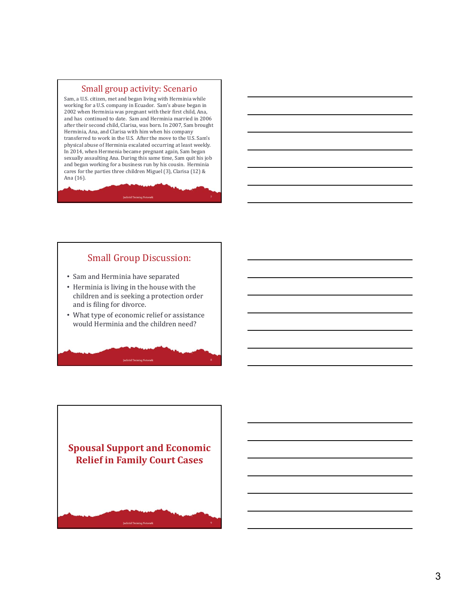#### Small group activity: Scenario

Sam, a U.S. citizen, met and began living with Herminia while working for a U.S. company in Ecuador. Sam's abuse began in 2002 when Herminia was pregnant with their first child, Ana, and has continued to date. Sam and Herminia married in 2006 after their second child, Clarisa, was born. In 2007, Sam brought Herminia, Ana, and Clarisa with him when his company transferred to work in the U.S. After the move to the U.S. Sam's physical abuse of Herminia escalated occurring at least weekly. In 2014, when Hermenia became pregnant again, Sam began sexually assaulting Ana. During this same time, Sam quit his job and began working for a business run by his cousin. Herminia cares for the parties three children Miguel (3), Clarisa (12) & Ana (16).

## Small Group Discussion:

- Sam and Herminia have separated
- Herminia is living in the house with the children and is seeking a protection order and is filing for divorce.
- What type of economic relief or assistance would Herminia and the children need?

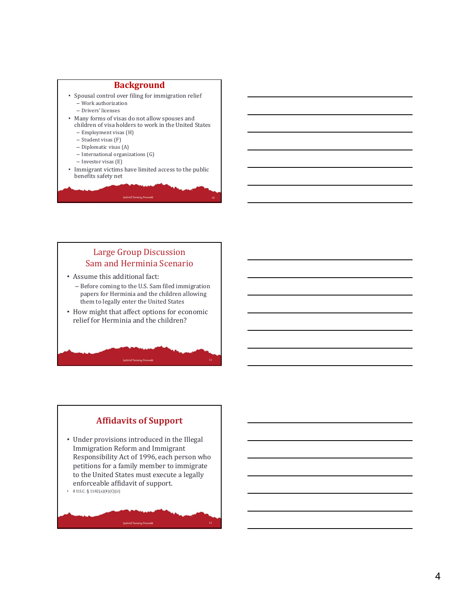#### **Background**

- Spousal control over filing for immigration relief
	- Work authorization – Drivers' licenses
- Many forms of visas do not allow spouses and children of visa holders to work in the United States
	- Employment visas (H)
	- Student visas (F)
	- Diplomatic visas (A)
	- International organizations (G)
	- Investor visas (E)
- Immigrant victims have limited access to the public benefits safety net

## Large Group Discussion Sam and Herminia Scenario

- Assume this additional fact:
- Before coming to the U.S. Sam filed immigration papers for Herminia and the children allowing them to legally enter the United States
- How might that affect options for economic relief for Herminia and the children?

**Judicial Training Network** 

## **Affidavits of Support**

- Under provisions introduced in the Illegal Immigration Reform and Immigrant Responsibility Act of 1996, each person who petitions for a family member to immigrate to the United States must execute a legally enforceable affidavit of support.
- 8 U.S.C.  $\S 1182(a)(4)(C)(ii)$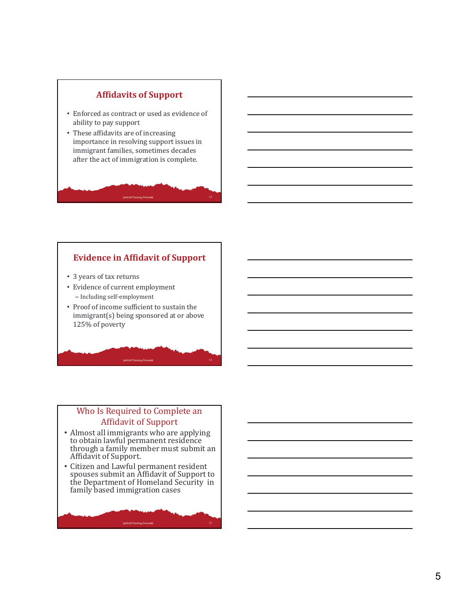

## **Evidence in Affidavit of Support**

- 3 years of tax returns
- Evidence of current employment – Including self-employment
- Proof of income sufficient to sustain the immigrant(s) being sponsored at or above 125% of poverty

**Judicial Training Network** 

# Who Is Required to Complete an Affidavit of Support

14

- Almost all immigrants who are applying to obtain lawful permanent residence through a family member must submit an Affidavit of Support.
- Citizen and Lawful permanent resident spouses submit an Affidavit of Support to the Department of Homeland Security in family based immigration cases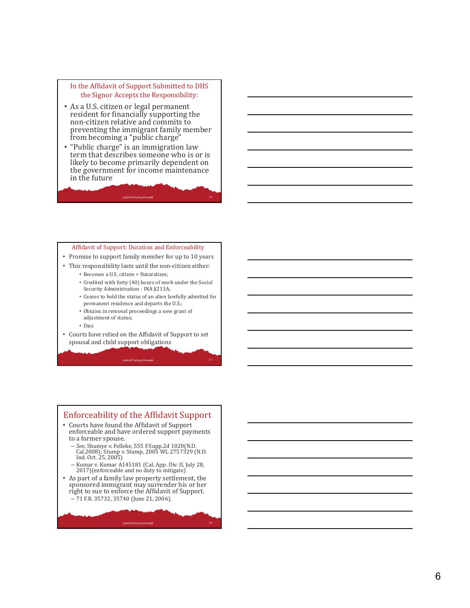#### In the Affidavit of Support Submitted to DHS the Signor Accepts the Responsibility:

- As a U.S. citizen or legal permanent resident for financially supporting the non-citizen relative and commits to preventing the immigrant family member from becoming a "public charge"
- "Public charge" is an immigration law term that describes someone who is or is likely to become primarily dependent on the government for income maintenance in the future

**Judicial Training Networ** 

#### Affidavit of Support: Duration and Enforceability

- Promise to support family member for up to 10 years
- This responsibility lasts until the non-citizen either:
	- Becomes a U.S. citizen = Naturalizes;
		- Credited with forty (40) hours of work under the Social Security Administration - INA §213A;
		- Ceases to hold the status of an alien lawfully admitted for permanent residence and departs the U.S.;
		- Obtains in removal proceedings a new grant of adjustment of status;
	- Dies
- Courts have relied on the Affidavit of Support to set spousal and child support obligations

**Judicial Training Network** 

# Enforceability of the Affidavit Support

- Courts have found the Affidavit of Support enforceable and have ordered support payments to a former spouse.
	- *See*, Shumye v. Felleke, 555 F.Supp.2d 1020(N.D. Cal.2008); Stump v. Stump, 2005 WL 2757329 (N.D. Ind. Oct. 25, 2005)
	- Kumar v. Kumar A145181 (Cal. App. Div. II, July 28, 2017)(enforceable and no duty to mitigate)
- As part of a family law property settlement, the sponsored immigrant may surrender his or her right to sue to enforce the Affidavit of Support. – 71 F.R. 35732, 35740 (June 21, 2006).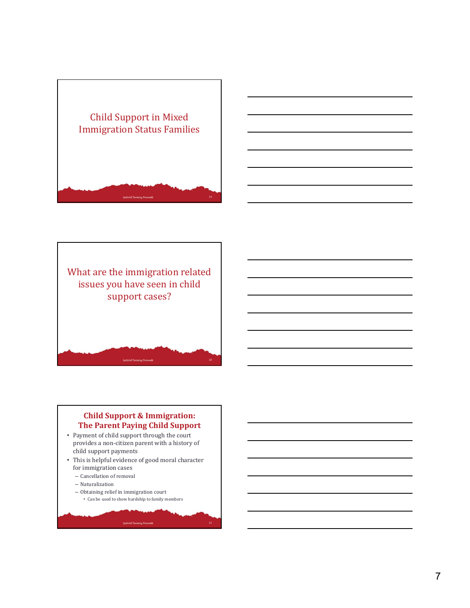





### **Child Support & Immigration: The Parent Paying Child Support**

- Payment of child support through the court provides a non-citizen parent with a history of child support payments
- This is helpful evidence of good moral character for immigration cases

- Cancellation of removal
- Naturalization
- Obtaining relief in immigration court • Can be used to show hardship to family members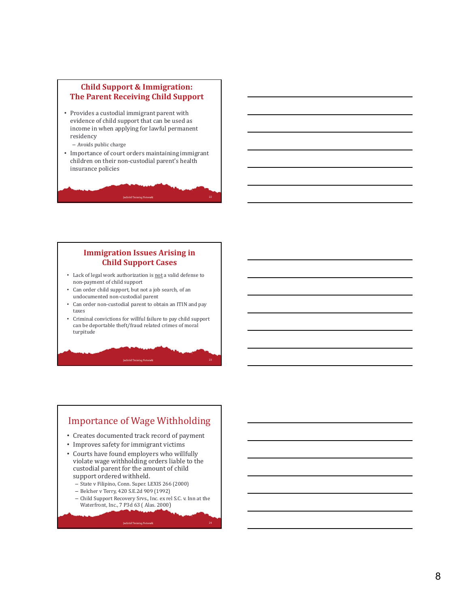### **Child Support & Immigration: The Parent Receiving Child Support**

- Provides a custodial immigrant parent with evidence of child support that can be used as income in when applying for lawful permanent residency
	- Avoids public charge
- Importance of court orders maintaining immigrant children on their non-custodial parent's health insurance policies

#### **Immigration Issues Arising in Child Support Cases**

- Lack of legal work authorization is not a valid defense to non-payment of child support
- Can order child support, but not a job search, of an undocumented non-custodial parent
- Can order non-custodial parent to obtain an ITIN and pay taxes
- Criminal convictions for willful failure to pay child support can be deportable theft/fraud related crimes of moral turpitude

**Judicial Training Network** 

# Importance of Wage Withholding

- Creates documented track record of payment
- Improves safety for immigrant victims
- Courts have found employers who willfully violate wage withholding orders liable to the custodial parent for the amount of child support ordered withheld.
	- State v Filipino, Conn. Super. LEXIS 266 (2000)
	- Belcher v Terry, 420 S.E.2d 909 (1992)
	- Child Support Recovery Srvs., Inc. ex rel S.C. v. Inn at the Waterfront, Inc., 7 P3d 63 ( Alas. 2000)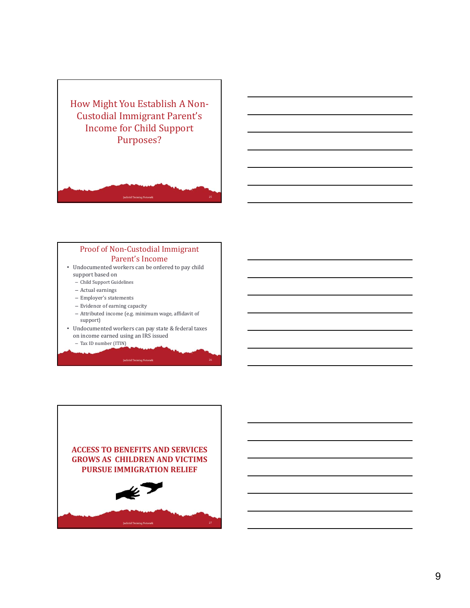



- Undocumented workers can be ordered to pay child support based on
	- Child Support Guidelines
	- Actual earnings
	- Employer's statements
	- Evidence of earning capacity
	- Attributed income (e.g. minimum wage, affidavit of support)
- Undocumented workers can pay state & federal taxes on income earned using an IRS issued

**Judicial Training Network** 

– Tax ID number (ITIN)

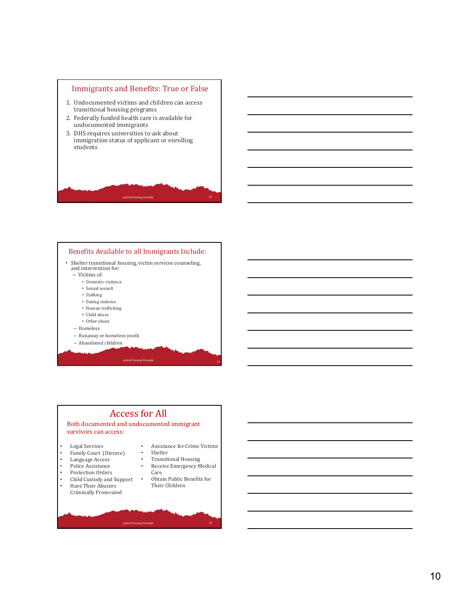



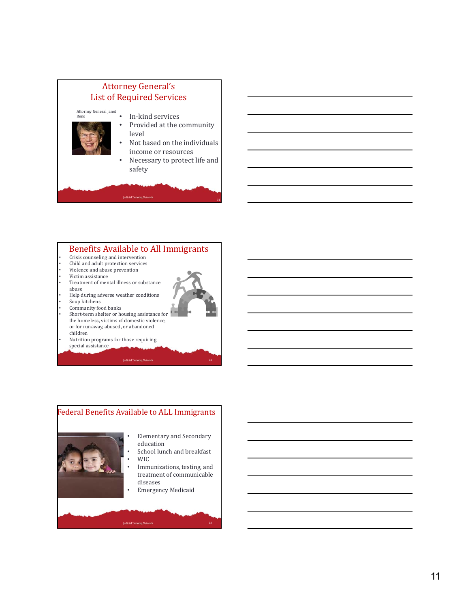

# Benefits Available to All Immigrants

- Crisis counseling and intervention
- Child and adult protection services
- Violence and abuse prevention
- Victim assistance
- Treatment of mental illness or substance
- abuse
- Help during adverse weather conditions
- Soup kitchens
- Community food banks
- Short-term shelter or housing assistance for the homeless, victims of domestic violence, or for runaway, abused, or abandoned children
- Nutrition programs for those requiring special assistance

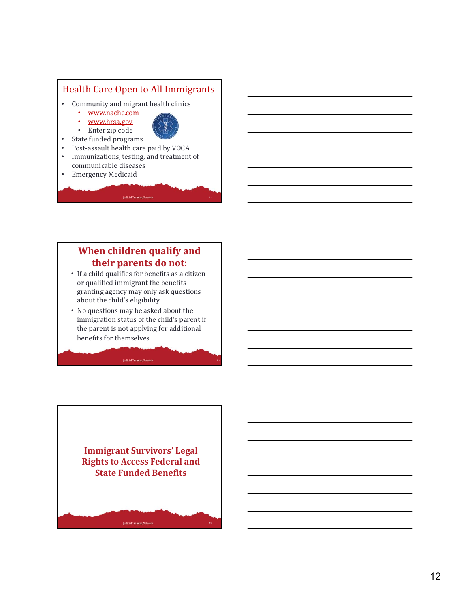

# **When children qualify and their parents do not:**

- If a child qualifies for benefits as a citizen or qualified immigrant the benefits granting agency may only ask questions about the child's eligibility
- No questions may be asked about the immigration status of the child's parent if the parent is not applying for additional benefits for themselves

**Judicial Training Network** 

**Immigrant Survivors' Legal Rights to Access Federal and State Funded Benefits**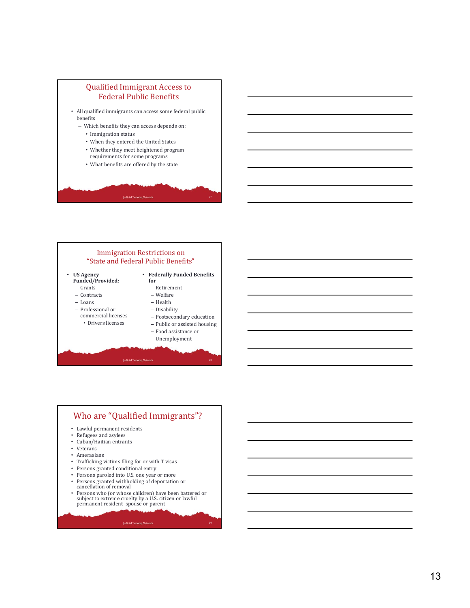



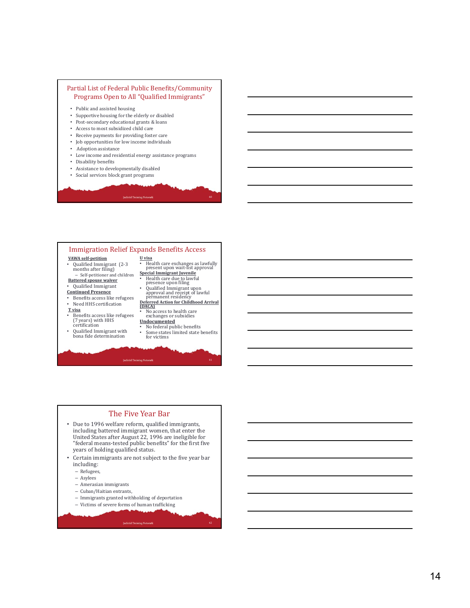#### Partial List of Federal Public Benefits/Community Programs Open to All "Qualified Immigrants"

- Public and assisted housing
- Supportive housing for the elderly or disabled
- Post-secondary educational grants & loans
- Access to most subsidized child care
- Receive payments for providing foster care
- Job opportunities for low income individuals
- Adoption assistance
- Low income and residential energy assistance programs
- Disability benefits
- Assistance to developmentally disabled • Social services block grant programs
	-

#### Immigration Relief Expands Benefits Access **VAWA self‐petition U visa** • Health care exchanges as lawfully present upon wait-list approval • Qualified Immigrant (2-3 months after filing) **Special Immigrant Juvenile** – Self-petitioner and children • Health care due to lawful<br>• Qualified Immigrant upon<br>• Qualified Immigrant upon<br>• permanent residency<br>**Deferred Action for Childhood Arrival**<br>**Deferred Action for Childhood Arrival Battered spouse waiver** • Qualified Immigrant **Continued Presence** • Benefits access like refugees • Need HHS certification **T visa** • No access to health care exchanges or subsidies • Benefits access like refugees (7 years) with HHS certification **Undocumented** • No federal public benefits • Qualified Immigrant with bona fide determination • Some states limited state benefits for victims **Judicial Training Network**

#### The Five Year Bar • Due to 1996 welfare reform, qualified immigrants, including battered immigrant women, that enter the United States after August 22, 1996 are ineligible for "federal means-tested public benefits" for the first five years of holding qualified status. • Certain immigrants are not subject to the five year bar including: – Refugees, – Asylees – Amerasian immigrants – Cuban/Haitian entrants, – Immigrants granted withholding of deportation – Victims of severe forms of human trafficking

- -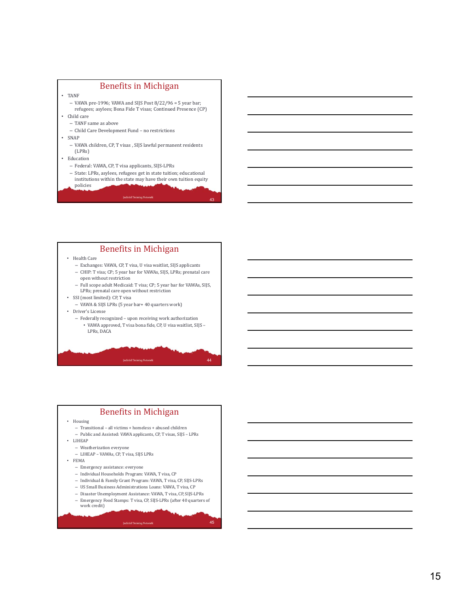

#### Benefits in Michigan

• Health Care

- Exchanges: VAWA, CP, T visa, U visa waitlist, SIJS applicants
- CHIP: T visa; CP; 5 year bar for VAWAs, SIJS, LPRs; prenatal care open without restriction
- Full scope adult Medicaid: T visa; CP; 5 year bar for VAWAs, SIJS, LPRs; prenatal care open without restriction
- SSI (most limited): CP, T visa
	- VAWA & SIJS LPRs (5 year bar+ 40 quarters work)
- Driver's License
	- Federally recognized upon receiving work authorization • VAWA approved, T visa bona fide, CP, U visa waitlist, SIJS – LPRs, DACA

44

45



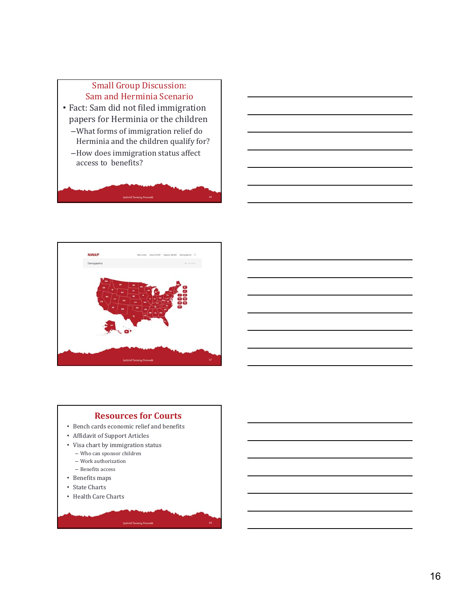# Small Group Discussion: Sam and Herminia Scenario

- Fact: Sam did not filed immigration papers for Herminia or the children
	- –What forms of immigration relief do Herminia and the children qualify for?
	- –How does immigration status affect access to benefits?